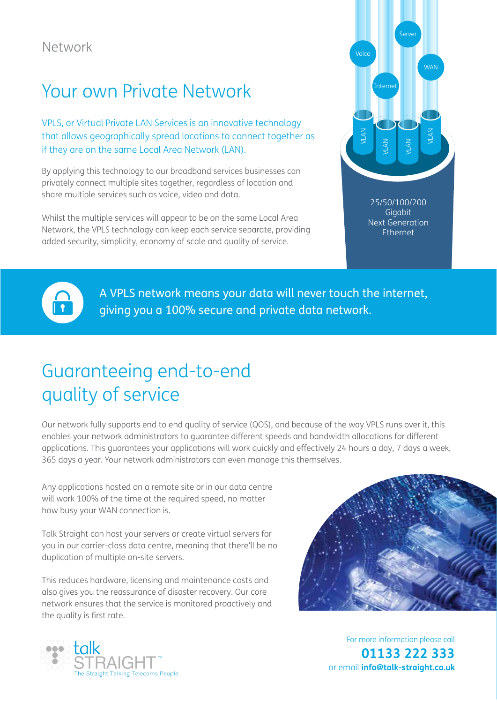## Your own Private Network

VPLS, or Virtual Private LAN Services is an innovative technology that allows geographically spread locations to connect together as if they are on the same Local Area Network (LAN).

By applying this technology to our broadband services businesses can privately connect multiple sites together, regardless of location and share multiple services such as voice, video and data.

Whilst the multiple services will appear to be on the same Local Area Network, the VPLS technology can keep each service separate, providing added security, simplicity, economy of scale and quality of service.



25/50/100/200 **Gigabit** Next Generation Ethernet



A VPLS network means your data will never touch the internet, giving you a 100% secure and private data network.

## Guaranteeing end-to-end quality of service

Our network fully supports end to end quality of service (QOS), and because of the way VPLS runs over it, this enables your network administrators to guarantee different speeds and bandwidth allocations for different applications. This guarantees your applications will work quickly and effectively 24 hours a day, 7 days a week, 365 days a year. Your network administrators can even manage this themselves.

Any applications hosted on a remote site or in our data centre will work 100% of the time at the required speed, no matter how busy your WAN connection is.

Talk Straight can host your servers or create virtual servers for you in our carrier-class data centre, meaning that there'll be no duplication of multiple on-site servers.

This reduces hardware, licensing and maintenance costs and also gives you the reassurance of disaster recovery. Our core network ensures that the service is monitored proactively and the quality is first rate.





For more information please call **01133 222 333**  or email **info@talk-straight.co.uk**